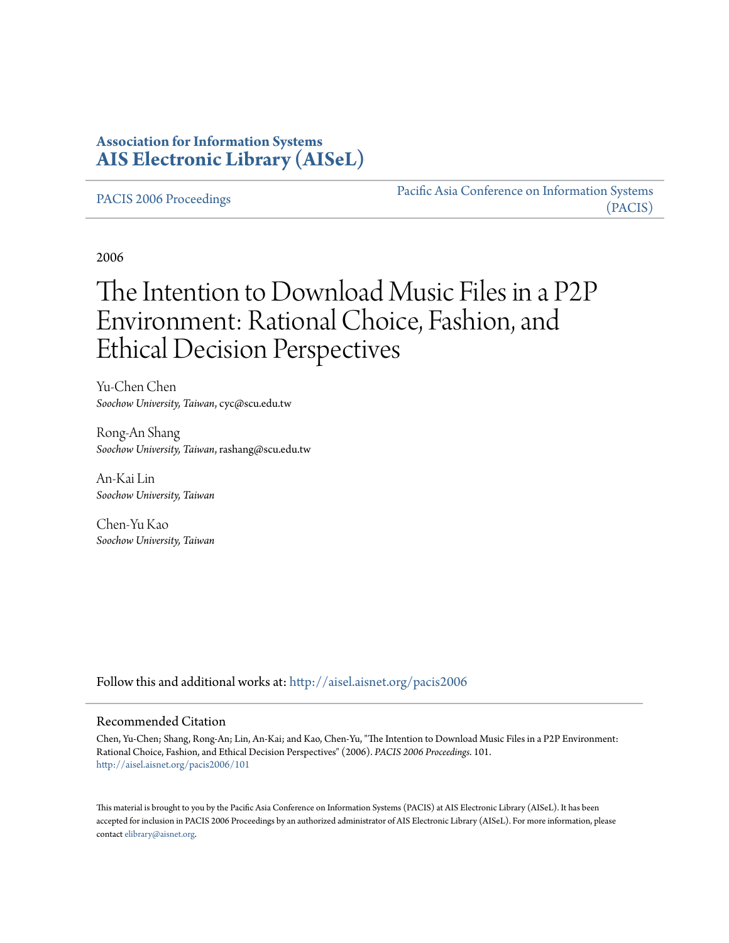# **Association for Information Systems [AIS Electronic Library \(AISeL\)](http://aisel.aisnet.org?utm_source=aisel.aisnet.org%2Fpacis2006%2F101&utm_medium=PDF&utm_campaign=PDFCoverPages)**

[PACIS 2006 Proceedings](http://aisel.aisnet.org/pacis2006?utm_source=aisel.aisnet.org%2Fpacis2006%2F101&utm_medium=PDF&utm_campaign=PDFCoverPages)

[Pacific Asia Conference on Information Systems](http://aisel.aisnet.org/pacis?utm_source=aisel.aisnet.org%2Fpacis2006%2F101&utm_medium=PDF&utm_campaign=PDFCoverPages) [\(PACIS\)](http://aisel.aisnet.org/pacis?utm_source=aisel.aisnet.org%2Fpacis2006%2F101&utm_medium=PDF&utm_campaign=PDFCoverPages)

2006

# The Intention to Download Music Files in a P2P Environment: Rational Choice, Fashion, and Ethical Decision Perspectives

Yu-Chen Chen *Soochow University, Taiwan*, cyc@scu.edu.tw

Rong-An Shang *Soochow University, Taiwan*, rashang@scu.edu.tw

An-Kai Lin *Soochow University, Taiwan*

Chen-Yu Kao *Soochow University, Taiwan*

Follow this and additional works at: [http://aisel.aisnet.org/pacis2006](http://aisel.aisnet.org/pacis2006?utm_source=aisel.aisnet.org%2Fpacis2006%2F101&utm_medium=PDF&utm_campaign=PDFCoverPages)

#### Recommended Citation

Chen, Yu-Chen; Shang, Rong-An; Lin, An-Kai; and Kao, Chen-Yu, "The Intention to Download Music Files in a P2P Environment: Rational Choice, Fashion, and Ethical Decision Perspectives" (2006). *PACIS 2006 Proceedings*. 101. [http://aisel.aisnet.org/pacis2006/101](http://aisel.aisnet.org/pacis2006/101?utm_source=aisel.aisnet.org%2Fpacis2006%2F101&utm_medium=PDF&utm_campaign=PDFCoverPages)

This material is brought to you by the Pacific Asia Conference on Information Systems (PACIS) at AIS Electronic Library (AISeL). It has been accepted for inclusion in PACIS 2006 Proceedings by an authorized administrator of AIS Electronic Library (AISeL). For more information, please contact [elibrary@aisnet.org.](mailto:elibrary@aisnet.org%3E)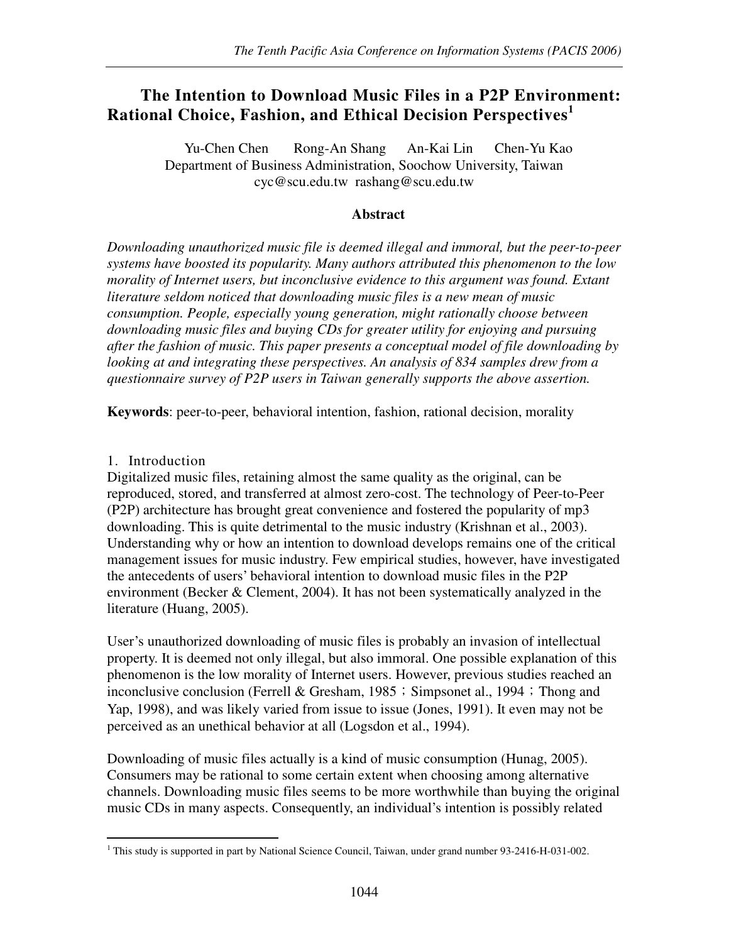# **The Intention to Download Music Files in a P2P Environment: Rational Choice, Fashion, and Ethical Decision Perspectives<sup>1</sup>**

Yu-Chen Chen Rong-An Shang An-Kai Lin Chen-Yu Kao Department of Business Administration, Soochow University, Taiwan cyc@scu.edu.tw rashang@scu.edu.tw

#### **Abstract**

*Downloading unauthorized music file is deemed illegal and immoral, but the peer-to-peer systems have boosted its popularity. Many authors attributed this phenomenon to the low morality of Internet users, but inconclusive evidence to this argument was found. Extant literature seldom noticed that downloading music files is a new mean of music consumption. People, especially young generation, might rationally choose between downloading music files and buying CDs for greater utility for enjoying and pursuing after the fashion of music. This paper presents a conceptual model of file downloading by looking at and integrating these perspectives. An analysis of 834 samples drew from a questionnaire survey of P2P users in Taiwan generally supports the above assertion.* 

**Keywords**: peer-to-peer, behavioral intention, fashion, rational decision, morality

#### 1. Introduction

Digitalized music files, retaining almost the same quality as the original, can be reproduced, stored, and transferred at almost zero-cost. The technology of Peer-to-Peer (P2P) architecture has brought great convenience and fostered the popularity of mp3 downloading. This is quite detrimental to the music industry (Krishnan et al., 2003). Understanding why or how an intention to download develops remains one of the critical management issues for music industry. Few empirical studies, however, have investigated the antecedents of users' behavioral intention to download music files in the P2P environment (Becker & Clement, 2004). It has not been systematically analyzed in the literature (Huang, 2005).

User's unauthorized downloading of music files is probably an invasion of intellectual property. It is deemed not only illegal, but also immoral. One possible explanation of this phenomenon is the low morality of Internet users. However, previous studies reached an inconclusive conclusion (Ferrell & Gresham,  $1985$ ; Simpsonet al., 1994; Thong and Yap, 1998), and was likely varied from issue to issue (Jones, 1991). It even may not be perceived as an unethical behavior at all (Logsdon et al., 1994).

Downloading of music files actually is a kind of music consumption (Hunag, 2005). Consumers may be rational to some certain extent when choosing among alternative channels. Downloading music files seems to be more worthwhile than buying the original music CDs in many aspects. Consequently, an individual's intention is possibly related

 $\overline{a}$ <sup>1</sup> This study is supported in part by National Science Council, Taiwan, under grand number 93-2416-H-031-002.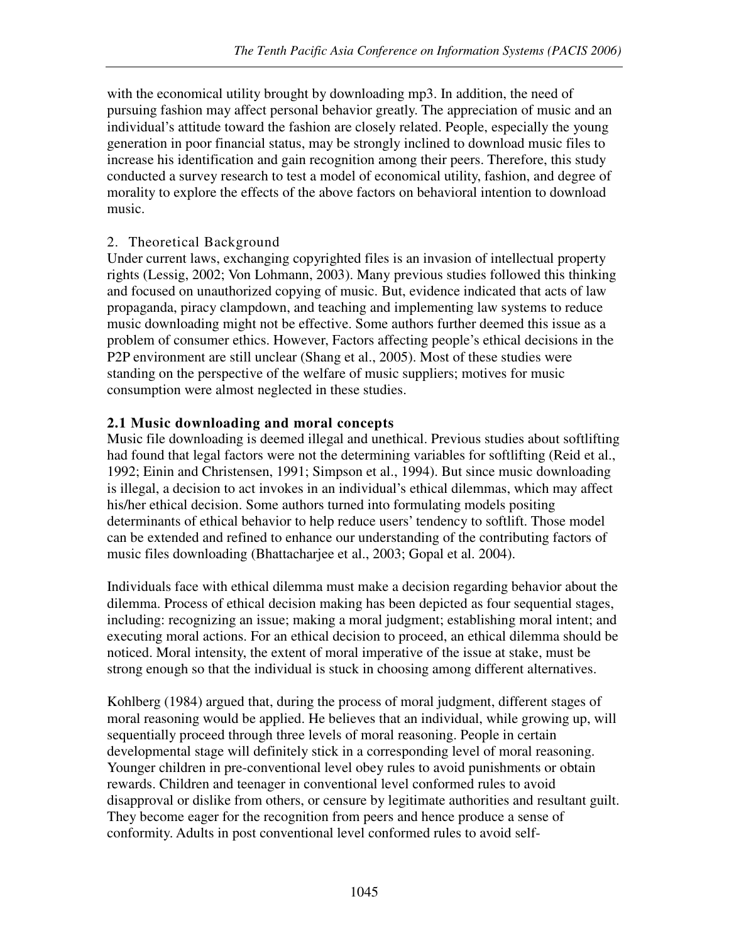with the economical utility brought by downloading mp3. In addition, the need of pursuing fashion may affect personal behavior greatly. The appreciation of music and an individual's attitude toward the fashion are closely related. People, especially the young generation in poor financial status, may be strongly inclined to download music files to increase his identification and gain recognition among their peers. Therefore, this study conducted a survey research to test a model of economical utility, fashion, and degree of morality to explore the effects of the above factors on behavioral intention to download music.

## 2. Theoretical Background

Under current laws, exchanging copyrighted files is an invasion of intellectual property rights (Lessig, 2002; Von Lohmann, 2003). Many previous studies followed this thinking and focused on unauthorized copying of music. But, evidence indicated that acts of law propaganda, piracy clampdown, and teaching and implementing law systems to reduce music downloading might not be effective. Some authors further deemed this issue as a problem of consumer ethics. However, Factors affecting people's ethical decisions in the P2P environment are still unclear (Shang et al., 2005). Most of these studies were standing on the perspective of the welfare of music suppliers; motives for music consumption were almost neglected in these studies.

## **2.1 Music downloading and moral concepts**

Music file downloading is deemed illegal and unethical. Previous studies about softlifting had found that legal factors were not the determining variables for softlifting (Reid et al., 1992; Einin and Christensen, 1991; Simpson et al., 1994). But since music downloading is illegal, a decision to act invokes in an individual's ethical dilemmas, which may affect his/her ethical decision. Some authors turned into formulating models positing determinants of ethical behavior to help reduce users' tendency to softlift. Those model can be extended and refined to enhance our understanding of the contributing factors of music files downloading (Bhattacharjee et al., 2003; Gopal et al. 2004).

Individuals face with ethical dilemma must make a decision regarding behavior about the dilemma. Process of ethical decision making has been depicted as four sequential stages, including: recognizing an issue; making a moral judgment; establishing moral intent; and executing moral actions. For an ethical decision to proceed, an ethical dilemma should be noticed. Moral intensity, the extent of moral imperative of the issue at stake, must be strong enough so that the individual is stuck in choosing among different alternatives.

Kohlberg (1984) argued that, during the process of moral judgment, different stages of moral reasoning would be applied. He believes that an individual, while growing up, will sequentially proceed through three levels of moral reasoning. People in certain developmental stage will definitely stick in a corresponding level of moral reasoning. Younger children in pre-conventional level obey rules to avoid punishments or obtain rewards. Children and teenager in conventional level conformed rules to avoid disapproval or dislike from others, or censure by legitimate authorities and resultant guilt. They become eager for the recognition from peers and hence produce a sense of conformity. Adults in post conventional level conformed rules to avoid self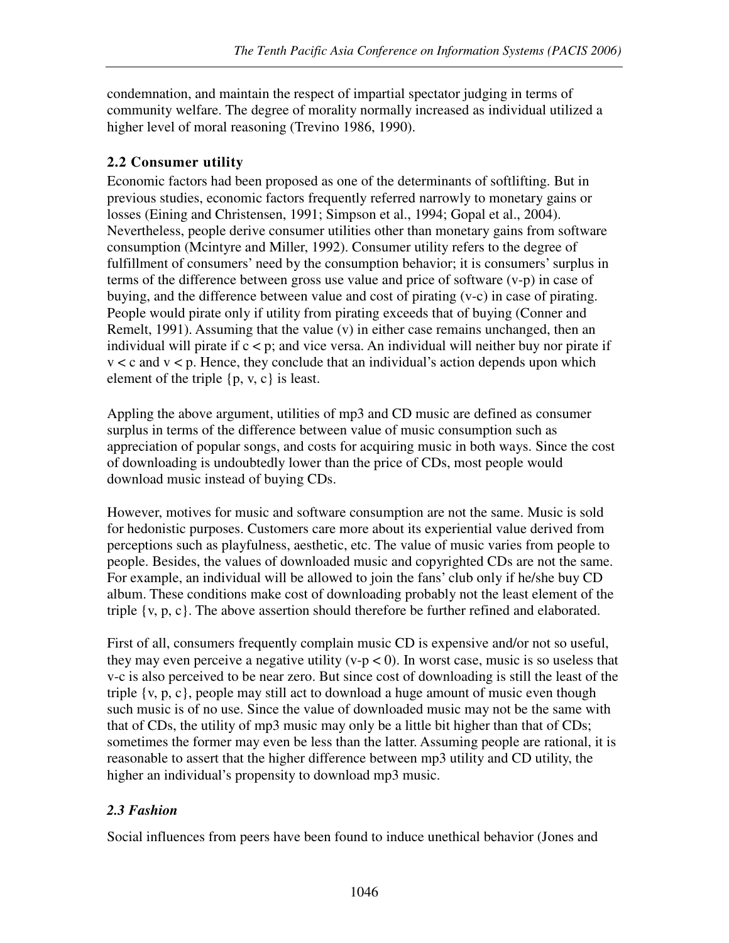condemnation, and maintain the respect of impartial spectator judging in terms of community welfare. The degree of morality normally increased as individual utilized a higher level of moral reasoning (Trevino 1986, 1990).

# **2.2 Consumer utility**

Economic factors had been proposed as one of the determinants of softlifting. But in previous studies, economic factors frequently referred narrowly to monetary gains or losses (Eining and Christensen, 1991; Simpson et al., 1994; Gopal et al., 2004). Nevertheless, people derive consumer utilities other than monetary gains from software consumption (Mcintyre and Miller, 1992). Consumer utility refers to the degree of fulfillment of consumers' need by the consumption behavior; it is consumers' surplus in terms of the difference between gross use value and price of software (v-p) in case of buying, and the difference between value and cost of pirating (v-c) in case of pirating. People would pirate only if utility from pirating exceeds that of buying (Conner and Remelt, 1991). Assuming that the value (v) in either case remains unchanged, then an individual will pirate if  $c < p$ ; and vice versa. An individual will neither buy nor pirate if  $v < c$  and  $v < p$ . Hence, they conclude that an individual's action depends upon which element of the triple  $\{p, v, c\}$  is least.

Appling the above argument, utilities of mp3 and CD music are defined as consumer surplus in terms of the difference between value of music consumption such as appreciation of popular songs, and costs for acquiring music in both ways. Since the cost of downloading is undoubtedly lower than the price of CDs, most people would download music instead of buying CDs.

However, motives for music and software consumption are not the same. Music is sold for hedonistic purposes. Customers care more about its experiential value derived from perceptions such as playfulness, aesthetic, etc. The value of music varies from people to people. Besides, the values of downloaded music and copyrighted CDs are not the same. For example, an individual will be allowed to join the fans' club only if he/she buy CD album. These conditions make cost of downloading probably not the least element of the triple  $\{v, p, c\}$ . The above assertion should therefore be further refined and elaborated.

First of all, consumers frequently complain music CD is expensive and/or not so useful, they may even perceive a negative utility ( $v-p < 0$ ). In worst case, music is so useless that v-c is also perceived to be near zero. But since cost of downloading is still the least of the triple {v, p, c}, people may still act to download a huge amount of music even though such music is of no use. Since the value of downloaded music may not be the same with that of CDs, the utility of mp3 music may only be a little bit higher than that of CDs; sometimes the former may even be less than the latter. Assuming people are rational, it is reasonable to assert that the higher difference between mp3 utility and CD utility, the higher an individual's propensity to download mp3 music.

## *2.3 Fashion*

Social influences from peers have been found to induce unethical behavior (Jones and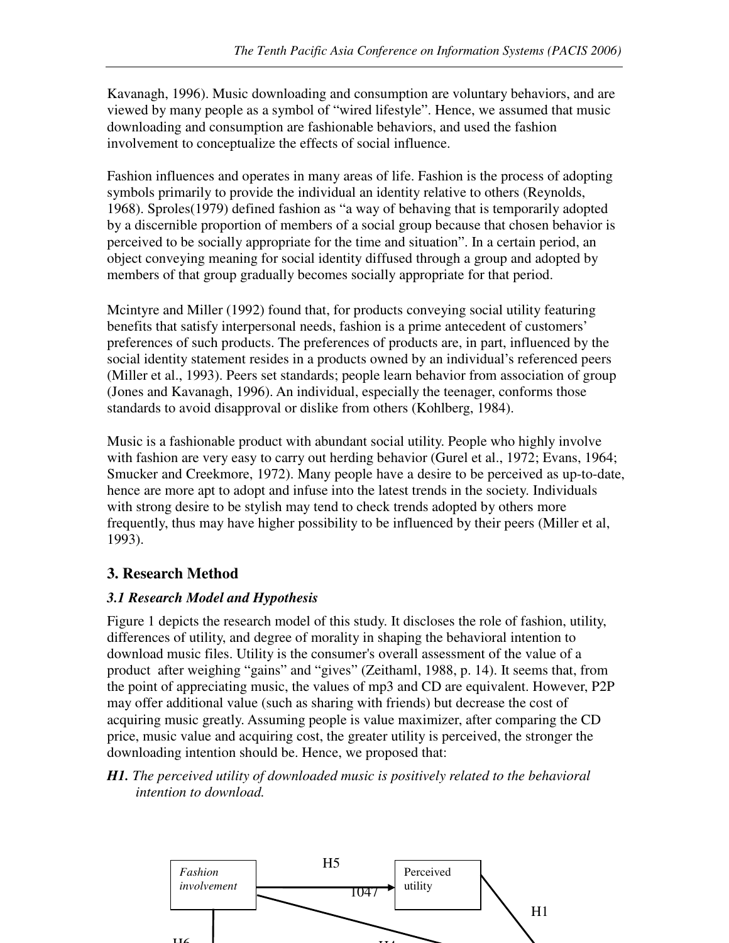Kavanagh, 1996). Music downloading and consumption are voluntary behaviors, and are viewed by many people as a symbol of "wired lifestyle". Hence, we assumed that music downloading and consumption are fashionable behaviors, and used the fashion involvement to conceptualize the effects of social influence.

Fashion influences and operates in many areas of life. Fashion is the process of adopting symbols primarily to provide the individual an identity relative to others (Reynolds, 1968). Sproles(1979) defined fashion as "a way of behaving that is temporarily adopted by a discernible proportion of members of a social group because that chosen behavior is perceived to be socially appropriate for the time and situation". In a certain period, an object conveying meaning for social identity diffused through a group and adopted by members of that group gradually becomes socially appropriate for that period.

Mcintyre and Miller (1992) found that, for products conveying social utility featuring benefits that satisfy interpersonal needs, fashion is a prime antecedent of customers' preferences of such products. The preferences of products are, in part, influenced by the social identity statement resides in a products owned by an individual's referenced peers (Miller et al., 1993). Peers set standards; people learn behavior from association of group (Jones and Kavanagh, 1996). An individual, especially the teenager, conforms those standards to avoid disapproval or dislike from others (Kohlberg, 1984).

Music is a fashionable product with abundant social utility. People who highly involve with fashion are very easy to carry out herding behavior (Gurel et al., 1972; Evans, 1964; Smucker and Creekmore, 1972). Many people have a desire to be perceived as up-to-date, hence are more apt to adopt and infuse into the latest trends in the society. Individuals with strong desire to be stylish may tend to check trends adopted by others more frequently, thus may have higher possibility to be influenced by their peers (Miller et al, 1993).

## **3. Research Method**

## *3.1 Research Model and Hypothesis*

Figure 1 depicts the research model of this study. It discloses the role of fashion, utility, differences of utility, and degree of morality in shaping the behavioral intention to download music files. Utility is the consumer's overall assessment of the value of a product after weighing "gains" and "gives" (Zeithaml, 1988, p. 14). It seems that, from the point of appreciating music, the values of mp3 and CD are equivalent. However, P2P may offer additional value (such as sharing with friends) but decrease the cost of acquiring music greatly. Assuming people is value maximizer, after comparing the CD price, music value and acquiring cost, the greater utility is perceived, the stronger the downloading intention should be. Hence, we proposed that:

*H1. The perceived utility of downloaded music is positively related to the behavioral intention to download.* 

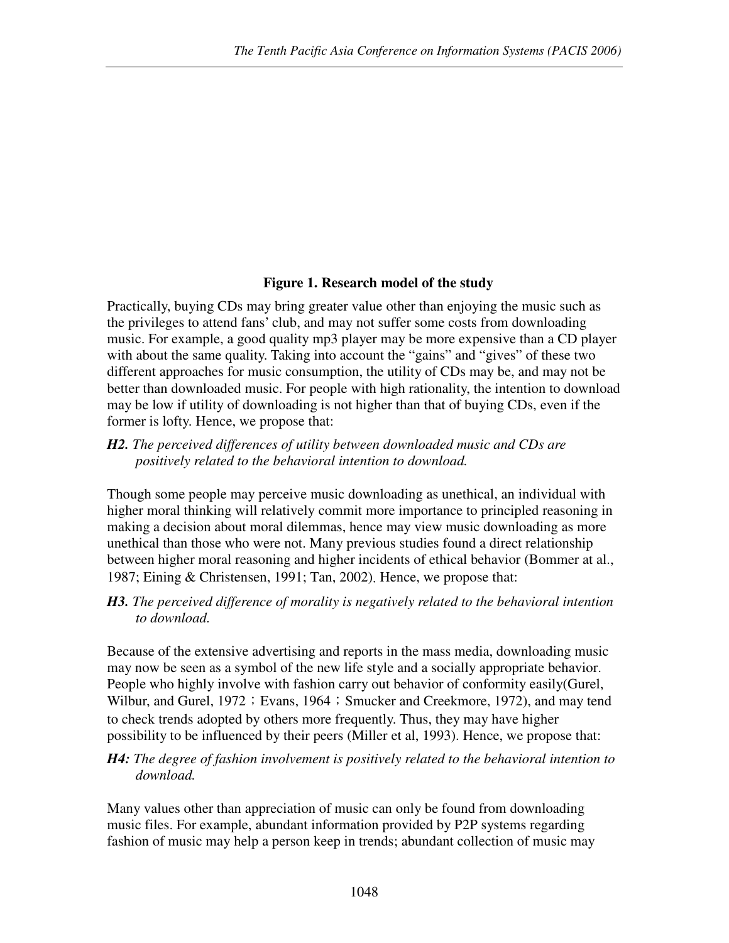## **Figure 1. Research model of the study**

Practically, buying CDs may bring greater value other than enjoying the music such as the privileges to attend fans' club, and may not suffer some costs from downloading music. For example, a good quality mp3 player may be more expensive than a CD player with about the same quality. Taking into account the "gains" and "gives" of these two different approaches for music consumption, the utility of CDs may be, and may not be better than downloaded music. For people with high rationality, the intention to download may be low if utility of downloading is not higher than that of buying CDs, even if the former is lofty. Hence, we propose that:

### *H2. The perceived differences of utility between downloaded music and CDs are positively related to the behavioral intention to download.*

Though some people may perceive music downloading as unethical, an individual with higher moral thinking will relatively commit more importance to principled reasoning in making a decision about moral dilemmas, hence may view music downloading as more unethical than those who were not. Many previous studies found a direct relationship between higher moral reasoning and higher incidents of ethical behavior (Bommer at al., 1987; Eining & Christensen, 1991; Tan, 2002). Hence, we propose that:

#### *H3. The perceived difference of morality is negatively related to the behavioral intention to download.*

Because of the extensive advertising and reports in the mass media, downloading music may now be seen as a symbol of the new life style and a socially appropriate behavior. People who highly involve with fashion carry out behavior of conformity easily(Gurel, Wilbur, and Gurel, 1972; Evans, 1964; Smucker and Creekmore, 1972), and may tend to check trends adopted by others more frequently. Thus, they may have higher possibility to be influenced by their peers (Miller et al, 1993). Hence, we propose that:

## *H4: The degree of fashion involvement is positively related to the behavioral intention to download.*

Many values other than appreciation of music can only be found from downloading music files. For example, abundant information provided by P2P systems regarding fashion of music may help a person keep in trends; abundant collection of music may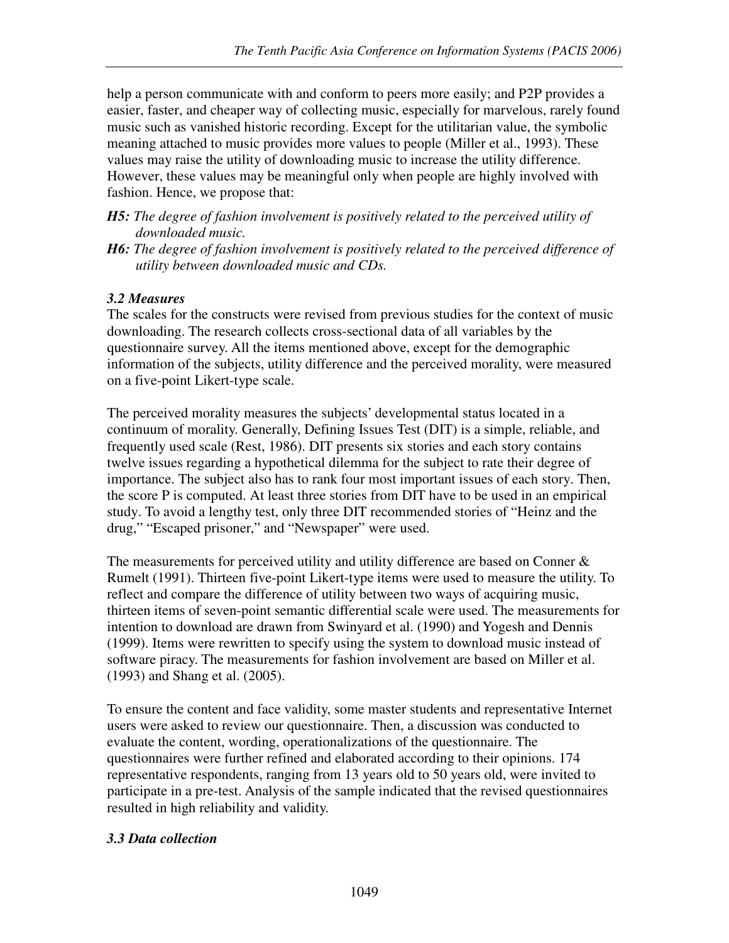help a person communicate with and conform to peers more easily; and P2P provides a easier, faster, and cheaper way of collecting music, especially for marvelous, rarely found music such as vanished historic recording. Except for the utilitarian value, the symbolic meaning attached to music provides more values to people (Miller et al., 1993). These values may raise the utility of downloading music to increase the utility difference. However, these values may be meaningful only when people are highly involved with fashion. Hence, we propose that:

- *H5: The degree of fashion involvement is positively related to the perceived utility of downloaded music.*
- *H6: The degree of fashion involvement is positively related to the perceived difference of utility between downloaded music and CDs.*

## *3.2 Measures*

The scales for the constructs were revised from previous studies for the context of music downloading. The research collects cross-sectional data of all variables by the questionnaire survey. All the items mentioned above, except for the demographic information of the subjects, utility difference and the perceived morality, were measured on a five-point Likert-type scale.

The perceived morality measures the subjects' developmental status located in a continuum of morality. Generally, Defining Issues Test (DIT) is a simple, reliable, and frequently used scale (Rest, 1986). DIT presents six stories and each story contains twelve issues regarding a hypothetical dilemma for the subject to rate their degree of importance. The subject also has to rank four most important issues of each story. Then, the score P is computed. At least three stories from DIT have to be used in an empirical study. To avoid a lengthy test, only three DIT recommended stories of "Heinz and the drug," "Escaped prisoner," and "Newspaper" were used.

The measurements for perceived utility and utility difference are based on Conner  $\&$ Rumelt (1991). Thirteen five-point Likert-type items were used to measure the utility. To reflect and compare the difference of utility between two ways of acquiring music, thirteen items of seven-point semantic differential scale were used. The measurements for intention to download are drawn from Swinyard et al. (1990) and Yogesh and Dennis (1999). Items were rewritten to specify using the system to download music instead of software piracy. The measurements for fashion involvement are based on Miller et al. (1993) and Shang et al. (2005).

To ensure the content and face validity, some master students and representative Internet users were asked to review our questionnaire. Then, a discussion was conducted to evaluate the content, wording, operationalizations of the questionnaire. The questionnaires were further refined and elaborated according to their opinions. 174 representative respondents, ranging from 13 years old to 50 years old, were invited to participate in a pre-test. Analysis of the sample indicated that the revised questionnaires resulted in high reliability and validity.

## *3.3 Data collection*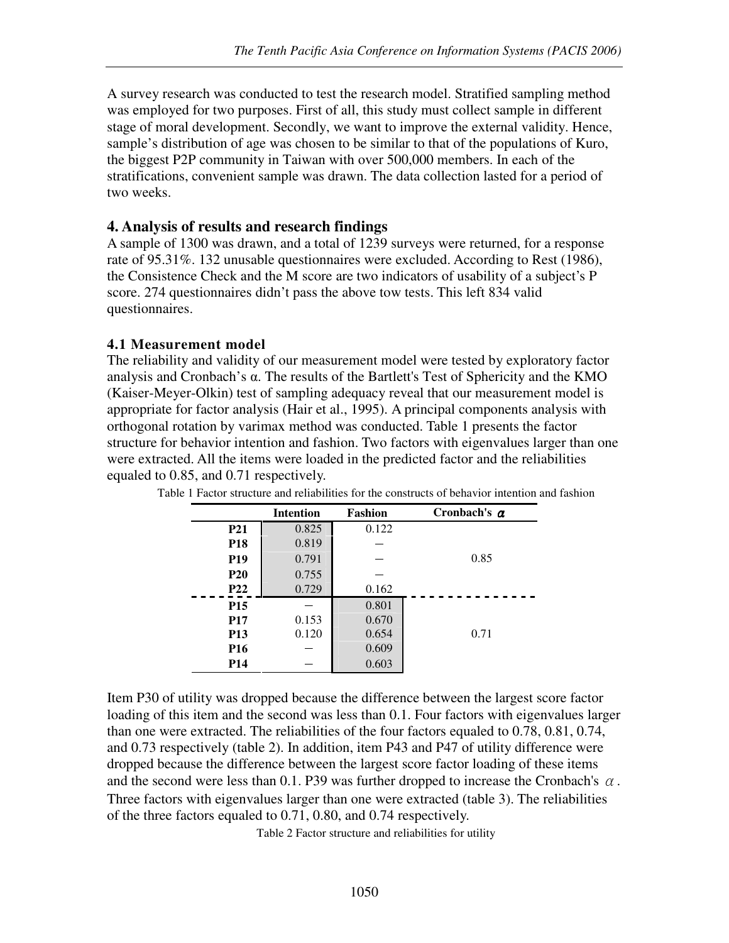A survey research was conducted to test the research model. Stratified sampling method was employed for two purposes. First of all, this study must collect sample in different stage of moral development. Secondly, we want to improve the external validity. Hence, sample's distribution of age was chosen to be similar to that of the populations of Kuro, the biggest P2P community in Taiwan with over 500,000 members. In each of the stratifications, convenient sample was drawn. The data collection lasted for a period of two weeks.

### **4. Analysis of results and research findings**

A sample of 1300 was drawn, and a total of 1239 surveys were returned, for a response rate of 95.31%. 132 unusable questionnaires were excluded. According to Rest (1986), the Consistence Check and the M score are two indicators of usability of a subject's P score. 274 questionnaires didn't pass the above tow tests. This left 834 valid questionnaires.

#### **4.1 Measurement model**

The reliability and validity of our measurement model were tested by exploratory factor analysis and Cronbach's α. The results of the Bartlett's Test of Sphericity and the KMO (Kaiser-Meyer-Olkin) test of sampling adequacy reveal that our measurement model is appropriate for factor analysis (Hair et al., 1995). A principal components analysis with orthogonal rotation by varimax method was conducted. Table 1 presents the factor structure for behavior intention and fashion. Two factors with eigenvalues larger than one were extracted. All the items were loaded in the predicted factor and the reliabilities equaled to 0.85, and 0.71 respectively.

|                 | <b>Intention</b> | Fashion | Cronbach's $\alpha$ |
|-----------------|------------------|---------|---------------------|
| P <sub>21</sub> | 0.825            | 0.122   |                     |
| <b>P18</b>      | 0.819            |         |                     |
| <b>P19</b>      | 0.791            |         | 0.85                |
| <b>P20</b>      | 0.755            |         |                     |
| <b>P22</b>      | 0.729            | 0.162   |                     |
| <b>P15</b>      |                  | 0.801   |                     |
| <b>P17</b>      | 0.153            | 0.670   |                     |
| <b>P13</b>      | 0.120            | 0.654   | 0.71                |
| P <sub>16</sub> |                  | 0.609   |                     |
| <b>P14</b>      |                  | 0.603   |                     |

Table 1 Factor structure and reliabilities for the constructs of behavior intention and fashion

Item P30 of utility was dropped because the difference between the largest score factor loading of this item and the second was less than 0.1. Four factors with eigenvalues larger than one were extracted. The reliabilities of the four factors equaled to 0.78, 0.81, 0.74, and 0.73 respectively (table 2). In addition, item P43 and P47 of utility difference were dropped because the difference between the largest score factor loading of these items and the second were less than 0.1. P39 was further dropped to increase the Cronbach's  $\alpha$ . Three factors with eigenvalues larger than one were extracted (table 3). The reliabilities of the three factors equaled to 0.71, 0.80, and 0.74 respectively.

Table 2 Factor structure and reliabilities for utility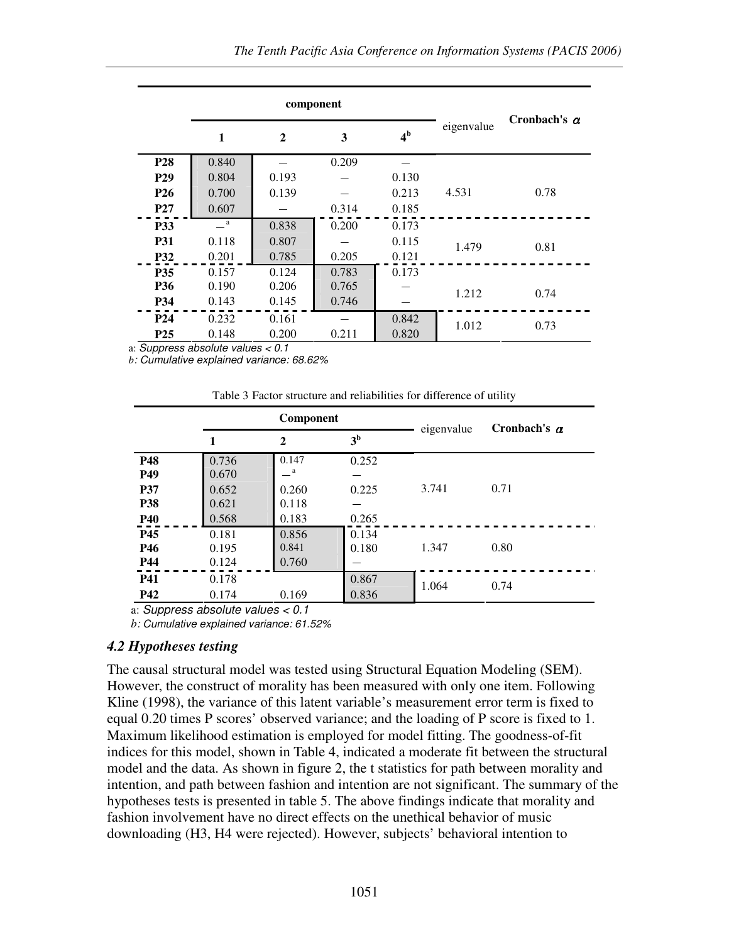|                 |         | component    |       |                |            |                     |  |
|-----------------|---------|--------------|-------|----------------|------------|---------------------|--|
|                 | 1       | $\mathbf{2}$ | 3     | 4 <sup>b</sup> | eigenvalue | Cronbach's $\alpha$ |  |
| <b>P28</b>      | 0.840   |              | 0.209 |                |            |                     |  |
| P <sub>29</sub> | 0.804   | 0.193        |       | 0.130          |            |                     |  |
| P <sub>26</sub> | 0.700   | 0.139        |       | 0.213          | 4.531      | 0.78                |  |
| <b>P27</b>      | 0.607   |              | 0.314 | 0.185          |            |                     |  |
| <b>P33</b>      | $\_\_a$ | 0.838        | 0.200 | 0.173          |            |                     |  |
| <b>P31</b>      | 0.118   | 0.807        |       | 0.115          | 1.479      | 0.81                |  |
| P32             | 0.201   | 0.785        | 0.205 | 0.121          |            |                     |  |
| <b>P35</b>      | 0.157   | 0.124        | 0.783 | 0.173          |            |                     |  |
| <b>P36</b>      | 0.190   | 0.206        | 0.765 |                | 1.212      | 0.74                |  |
| P34             | 0.143   | 0.145        | 0.746 |                |            |                     |  |
| P <sub>24</sub> | 0.232   | 0.161        |       | 0.842          | 1.012      | 0.73                |  |
| P <sub>25</sub> | 0.148   | 0.200        | 0.211 | 0.820          |            |                     |  |

a: Suppress absolute values < 0.1

*b*: Cumulative explained variance: 68.62%

| Table 3 Factor structure and reliabilities for difference of utility |
|----------------------------------------------------------------------|
|----------------------------------------------------------------------|

|            | Component |              |                | eigenvalue | Cronbach's $\alpha$ |  |
|------------|-----------|--------------|----------------|------------|---------------------|--|
|            | 1         | 2            | 3 <sup>b</sup> |            |                     |  |
| P48        | 0.736     | 0.147        | 0.252          |            |                     |  |
| P49        | 0.670     | $\mathbf{a}$ |                |            |                     |  |
| <b>P37</b> | 0.652     | 0.260        | 0.225          | 3.741      | 0.71                |  |
| <b>P38</b> | 0.621     | 0.118        |                |            |                     |  |
| P40        | 0.568     | 0.183        | 0.265          |            |                     |  |
| P45        | 0.181     | 0.856        | 0.134          |            |                     |  |
| <b>P46</b> | 0.195     | 0.841        | 0.180          | 1.347      | 0.80                |  |
| <b>P44</b> | 0.124     | 0.760        |                |            |                     |  |
| <b>P41</b> | 0.178     |              | 0.867          | 1.064      | 0.74                |  |
| <b>P42</b> | 0.174     | 0.169        | 0.836          |            |                     |  |

a: Suppress absolute values < 0.1

*b*: Cumulative explained variance: 61.52%

#### *4.2 Hypotheses testing*

The causal structural model was tested using Structural Equation Modeling (SEM). However, the construct of morality has been measured with only one item. Following Kline (1998), the variance of this latent variable's measurement error term is fixed to equal 0.20 times P scores' observed variance; and the loading of P score is fixed to 1. Maximum likelihood estimation is employed for model fitting. The goodness-of-fit indices for this model, shown in Table 4, indicated a moderate fit between the structural model and the data. As shown in figure 2, the t statistics for path between morality and intention, and path between fashion and intention are not significant. The summary of the hypotheses tests is presented in table 5. The above findings indicate that morality and fashion involvement have no direct effects on the unethical behavior of music downloading (H3, H4 were rejected). However, subjects' behavioral intention to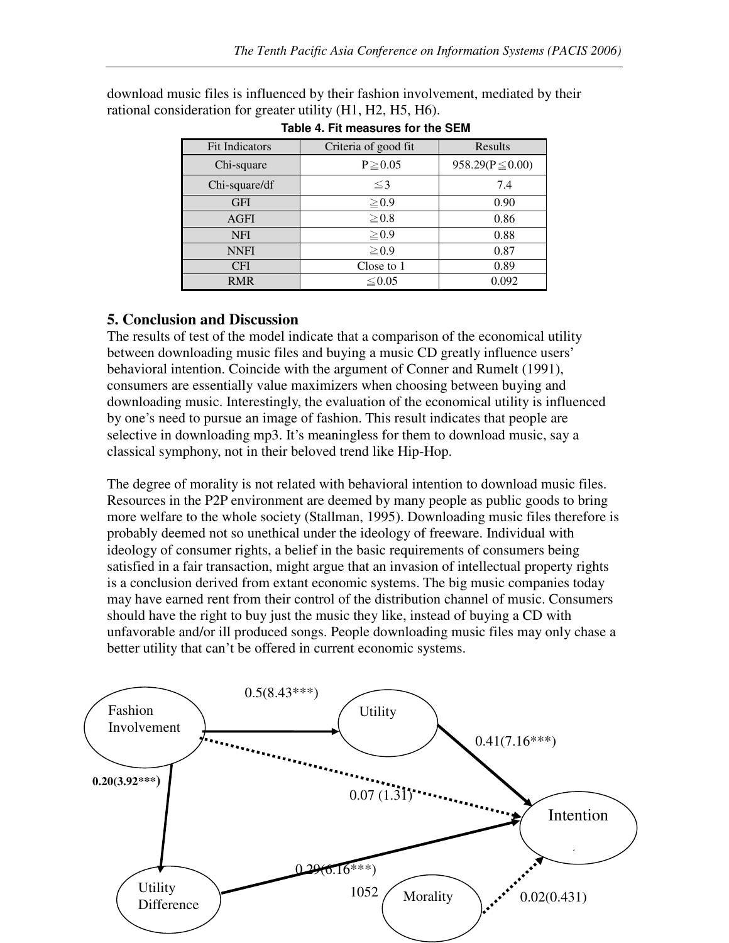| <b>Fit Indicators</b> | Criteria of good fit | Results              |  |
|-----------------------|----------------------|----------------------|--|
| Chi-square            | $P \ge 0.05$         | $958.29(P \le 0.00)$ |  |
| Chi-square/df         | $\leq$ 3             | 7.4                  |  |
| <b>GFI</b>            | $\geq 0.9$           | 0.90                 |  |
| <b>AGFI</b>           | $\geq 0.8$           | 0.86                 |  |
| <b>NFI</b>            | $\geq 0.9$           | 0.88                 |  |
| <b>NNFI</b>           | $\geq 0.9$           | 0.87                 |  |
| <b>CFI</b>            | Close to 1           | 0.89                 |  |
| <b>RMR</b>            | $\leq 0.05$          | 0.092                |  |

download music files is influenced by their fashion involvement, mediated by their rational consideration for greater utility (H1, H2, H5, H6).

|  | Table 4. Fit measures for the SEM |  |  |
|--|-----------------------------------|--|--|
|  |                                   |  |  |

## **5. Conclusion and Discussion**

The results of test of the model indicate that a comparison of the economical utility between downloading music files and buying a music CD greatly influence users' behavioral intention. Coincide with the argument of Conner and Rumelt (1991), consumers are essentially value maximizers when choosing between buying and downloading music. Interestingly, the evaluation of the economical utility is influenced by one's need to pursue an image of fashion. This result indicates that people are selective in downloading mp3. It's meaningless for them to download music, say a classical symphony, not in their beloved trend like Hip-Hop.

The degree of morality is not related with behavioral intention to download music files. Resources in the P2P environment are deemed by many people as public goods to bring more welfare to the whole society (Stallman, 1995). Downloading music files therefore is probably deemed not so unethical under the ideology of freeware. Individual with ideology of consumer rights, a belief in the basic requirements of consumers being satisfied in a fair transaction, might argue that an invasion of intellectual property rights is a conclusion derived from extant economic systems. The big music companies today may have earned rent from their control of the distribution channel of music. Consumers should have the right to buy just the music they like, instead of buying a CD with unfavorable and/or ill produced songs. People downloading music files may only chase a better utility that can't be offered in current economic systems.

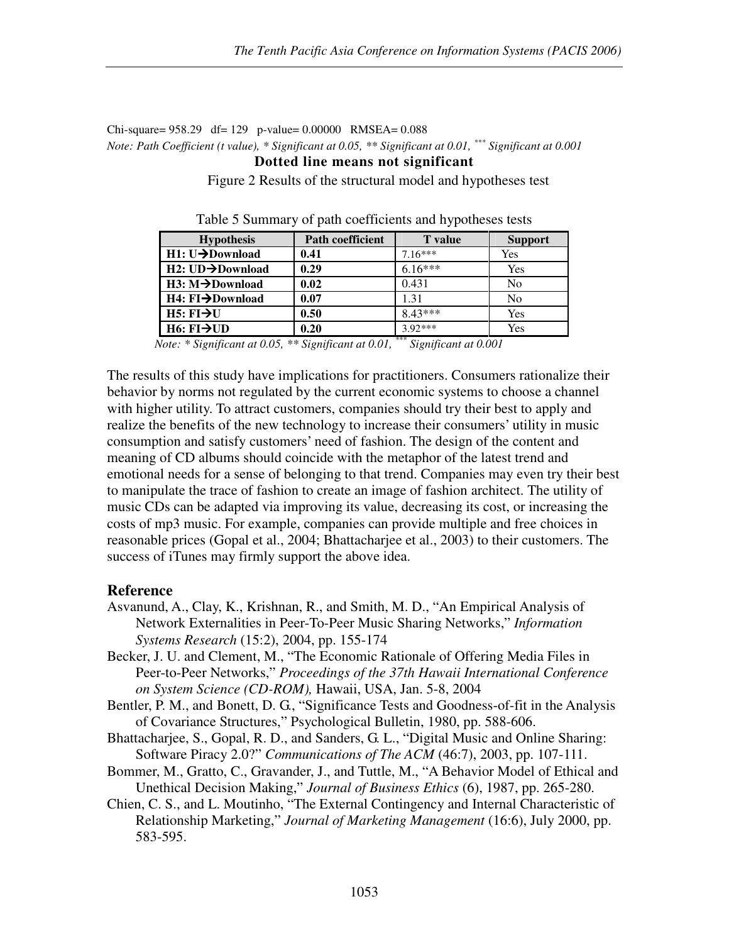#### Chi-square= 958.29 df= 129 p-value= 0.00000 RMSEA= 0.088 *Note: Path Coefficient (t value), \* Significant at 0.05, \*\* Significant at 0.01, \*\*\* Significant at 0.001* **Dotted line means not significant**

Figure 2 Results of the structural model and hypotheses test

| <b>Hypothesis</b>             | <b>Path coefficient</b> | <b>T</b> value        | <b>Support</b> |
|-------------------------------|-------------------------|-----------------------|----------------|
| $H1: U \rightarrow$ Download  | 0.41                    | $7.16***$             | Yes            |
| $H2: UD \rightarrow$ Download | 0.29                    | $6.16***$             | Yes            |
| $H3: M \rightarrow$ Download  | 0.02                    | 0.431                 | N <sub>0</sub> |
| H4: FI→Download               | 0.07                    | 1.31                  | No             |
| $H5: FI \rightarrow U$        | 0.50                    | $8.43***$             | Yes            |
| $H6: FI\rightarrow UD$        | 0.20                    | $3.92***$<br>$\cdots$ | Yes            |

Table 5 Summary of path coefficients and hypotheses tests

*Note: \* Significant at 0.05, \*\* Significant at 0.01, \*\*\* Significant at 0.001*

The results of this study have implications for practitioners. Consumers rationalize their behavior by norms not regulated by the current economic systems to choose a channel with higher utility. To attract customers, companies should try their best to apply and realize the benefits of the new technology to increase their consumers' utility in music consumption and satisfy customers' need of fashion. The design of the content and meaning of CD albums should coincide with the metaphor of the latest trend and emotional needs for a sense of belonging to that trend. Companies may even try their best to manipulate the trace of fashion to create an image of fashion architect. The utility of music CDs can be adapted via improving its value, decreasing its cost, or increasing the costs of mp3 music. For example, companies can provide multiple and free choices in reasonable prices (Gopal et al., 2004; Bhattacharjee et al., 2003) to their customers. The success of iTunes may firmly support the above idea.

#### **Reference**

- Asvanund, A., Clay, K., Krishnan, R., and Smith, M. D., "An Empirical Analysis of Network Externalities in Peer-To-Peer Music Sharing Networks," *Information Systems Research* (15:2), 2004, pp. 155-174
- Becker, J. U. and Clement, M., "The Economic Rationale of Offering Media Files in Peer-to-Peer Networks," *Proceedings of the 37th Hawaii International Conference on System Science (CD-ROM),* Hawaii, USA, Jan. 5-8, 2004
- Bentler, P. M., and Bonett, D. G., "Significance Tests and Goodness-of-fit in the Analysis of Covariance Structures," Psychological Bulletin, 1980, pp. 588-606.
- Bhattacharjee, S., Gopal, R. D., and Sanders, G. L., "Digital Music and Online Sharing: Software Piracy 2.0?" *Communications of The ACM* (46:7), 2003, pp. 107-111.
- Bommer, M., Gratto, C., Gravander, J., and Tuttle, M., "A Behavior Model of Ethical and Unethical Decision Making," *Journal of Business Ethics* (6), 1987, pp. 265-280.
- Chien, C. S., and L. Moutinho, "The External Contingency and Internal Characteristic of Relationship Marketing," *Journal of Marketing Management* (16:6), July 2000, pp. 583-595.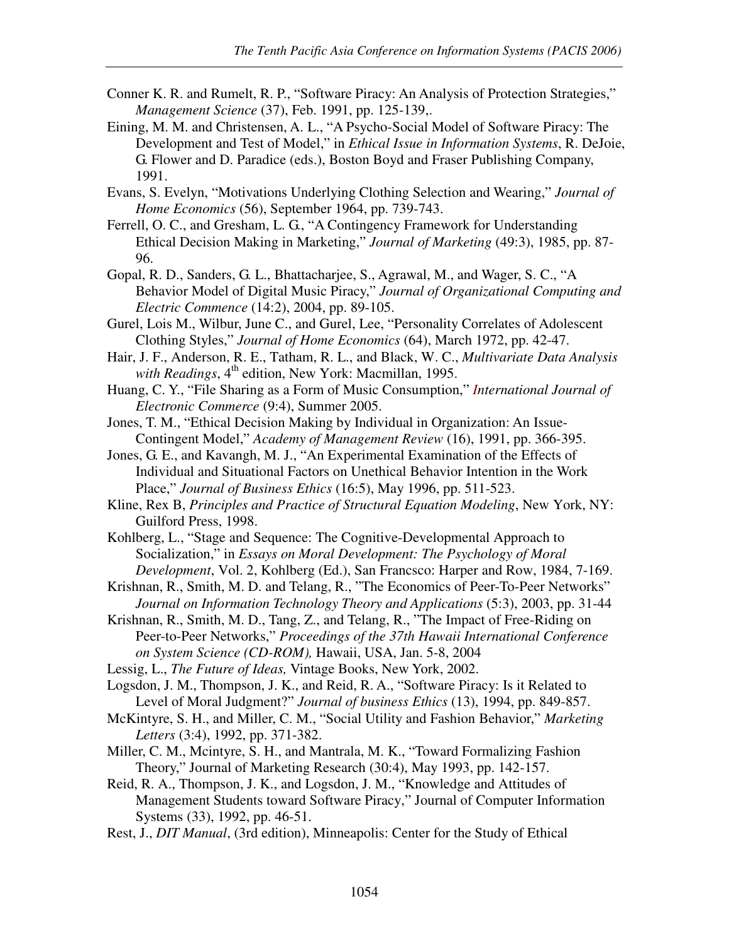- Conner K. R. and Rumelt, R. P., "Software Piracy: An Analysis of Protection Strategies," *Management Science* (37), Feb. 1991, pp. 125-139,.
- Eining, M. M. and Christensen, A. L., "A Psycho-Social Model of Software Piracy: The Development and Test of Model," in *Ethical Issue in Information Systems*, R. DeJoie, G. Flower and D. Paradice (eds.), Boston Boyd and Fraser Publishing Company, 1991.
- Evans, S. Evelyn, "Motivations Underlying Clothing Selection and Wearing," *Journal of Home Economics* (56), September 1964, pp. 739-743.
- Ferrell, O. C., and Gresham, L. G., "A Contingency Framework for Understanding Ethical Decision Making in Marketing," *Journal of Marketing* (49:3), 1985, pp. 87- 96.
- Gopal, R. D., Sanders, G. L., Bhattacharjee, S., Agrawal, M., and Wager, S. C., "A Behavior Model of Digital Music Piracy," *Journal of Organizational Computing and Electric Commence* (14:2), 2004, pp. 89-105.
- Gurel, Lois M., Wilbur, June C., and Gurel, Lee, "Personality Correlates of Adolescent Clothing Styles," *Journal of Home Economics* (64), March 1972, pp. 42-47.
- Hair, J. F., Anderson, R. E., Tatham, R. L., and Black, W. C., *Multivariate Data Analysis with Readings*, 4<sup>th</sup> edition, New York: Macmillan, 1995.
- Huang, C. Y., "File Sharing as a Form of Music Consumption," *International Journal of Electronic Commerce* (9:4), Summer 2005.
- Jones, T. M., "Ethical Decision Making by Individual in Organization: An Issue-Contingent Model," *Academy of Management Review* (16), 1991, pp. 366-395.
- Jones, G. E., and Kavangh, M. J., "An Experimental Examination of the Effects of Individual and Situational Factors on Unethical Behavior Intention in the Work Place," *Journal of Business Ethics* (16:5), May 1996, pp. 511-523.
- Kline, Rex B, *Principles and Practice of Structural Equation Modeling*, New York, NY: Guilford Press, 1998.
- Kohlberg, L., "Stage and Sequence: The Cognitive-Developmental Approach to Socialization," in *Essays on Moral Development: The Psychology of Moral Development*, Vol. 2, Kohlberg (Ed.), San Francsco: Harper and Row, 1984, 7-169.
- Krishnan, R., Smith, M. D. and Telang, R., "The Economics of Peer-To-Peer Networks" *Journal on Information Technology Theory and Applications* (5:3), 2003, pp. 31-44
- Krishnan, R., Smith, M. D., Tang, Z., and Telang, R., "The Impact of Free-Riding on Peer-to-Peer Networks," *Proceedings of the 37th Hawaii International Conference on System Science (CD-ROM),* Hawaii, USA, Jan. 5-8, 2004
- Lessig, L., *The Future of Ideas,* Vintage Books, New York, 2002.
- Logsdon, J. M., Thompson, J. K., and Reid, R. A., "Software Piracy: Is it Related to Level of Moral Judgment?" *Journal of business Ethics* (13), 1994, pp. 849-857.
- McKintyre, S. H., and Miller, C. M., "Social Utility and Fashion Behavior," *Marketing Letters* (3:4), 1992, pp. 371-382.
- Miller, C. M., Mcintyre, S. H., and Mantrala, M. K., "Toward Formalizing Fashion Theory," Journal of Marketing Research (30:4), May 1993, pp. 142-157.
- Reid, R. A., Thompson, J. K., and Logsdon, J. M., "Knowledge and Attitudes of Management Students toward Software Piracy," Journal of Computer Information Systems (33), 1992, pp. 46-51.
- Rest, J., *DIT Manual*, (3rd edition), Minneapolis: Center for the Study of Ethical